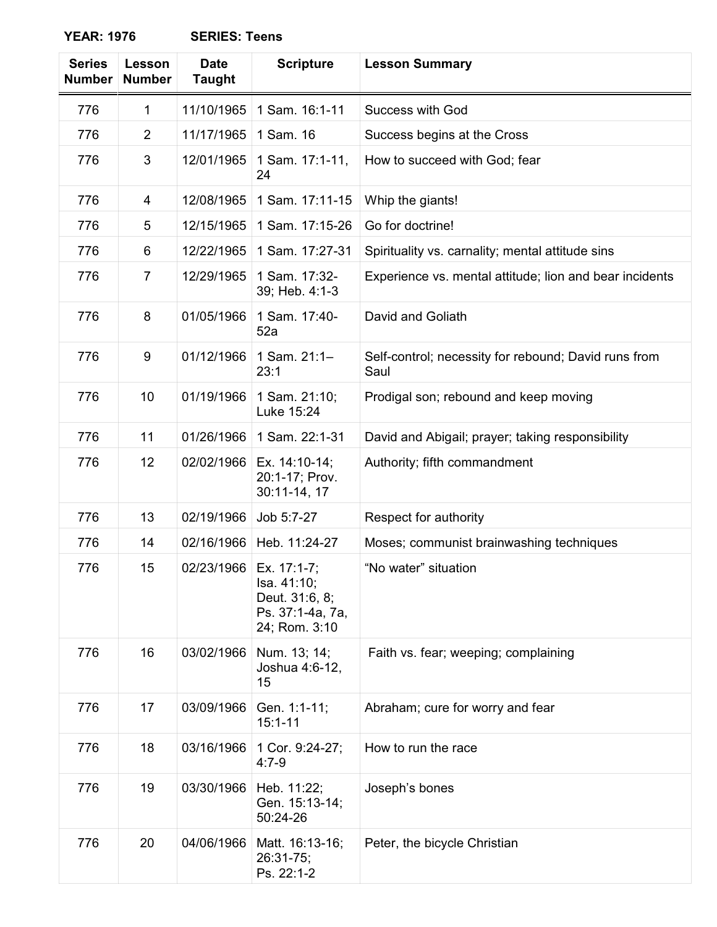| <b>Series</b><br><b>Number</b> | Lesson<br><b>Number</b> | <b>Date</b><br><b>Taught</b> | <b>Scripture</b>                                                                               | <b>Lesson Summary</b>                                        |
|--------------------------------|-------------------------|------------------------------|------------------------------------------------------------------------------------------------|--------------------------------------------------------------|
| 776                            | $\mathbf{1}$            | 11/10/1965                   | 1 Sam. 16:1-11                                                                                 | <b>Success with God</b>                                      |
| 776                            | $\overline{2}$          | 11/17/1965                   | 1 Sam. 16                                                                                      | Success begins at the Cross                                  |
| 776                            | 3                       | 12/01/1965                   | 1 Sam. 17:1-11,<br>24                                                                          | How to succeed with God; fear                                |
| 776                            | 4                       | 12/08/1965                   | 1 Sam. 17:11-15                                                                                | Whip the giants!                                             |
| 776                            | 5                       | 12/15/1965                   | 1 Sam. 17:15-26                                                                                | Go for doctrine!                                             |
| 776                            | 6                       | 12/22/1965                   | 1 Sam. 17:27-31                                                                                | Spirituality vs. carnality; mental attitude sins             |
| 776                            | $\overline{7}$          | 12/29/1965                   | 1 Sam. 17:32-<br>39; Heb. 4:1-3                                                                | Experience vs. mental attitude; lion and bear incidents      |
| 776                            | 8                       | 01/05/1966                   | 1 Sam. 17:40-<br>52a                                                                           | David and Goliath                                            |
| 776                            | 9                       | 01/12/1966                   | 1 Sam. 21:1-<br>23:1                                                                           | Self-control; necessity for rebound; David runs from<br>Saul |
| 776                            | 10                      | 01/19/1966                   | 1 Sam. 21:10;<br>Luke 15:24                                                                    | Prodigal son; rebound and keep moving                        |
| 776                            | 11                      | 01/26/1966                   | 1 Sam. 22:1-31                                                                                 | David and Abigail; prayer; taking responsibility             |
| 776                            | 12                      | 02/02/1966                   | Ex. 14:10-14;<br>20:1-17; Prov.<br>30:11-14, 17                                                | Authority; fifth commandment                                 |
| 776                            | 13                      | 02/19/1966                   | Job 5:7-27                                                                                     | Respect for authority                                        |
| 776                            | 14                      | 02/16/1966                   | Heb. 11:24-27                                                                                  | Moses; communist brainwashing techniques                     |
| 776                            | 15                      |                              | 02/23/1966   Ex. 17:1-7:<br>Isa. 41:10;<br>Deut. 31:6, 8;<br>Ps. 37:1-4a, 7a,<br>24; Rom. 3:10 | "No water" situation                                         |
| 776                            | 16                      | 03/02/1966                   | Num. 13; 14;<br>Joshua 4:6-12,<br>15                                                           | Faith vs. fear; weeping; complaining                         |
| 776                            | 17                      | 03/09/1966                   | Gen. 1:1-11;<br>$15:1 - 11$                                                                    | Abraham; cure for worry and fear                             |
| 776                            | 18                      | 03/16/1966                   | 1 Cor. 9:24-27;<br>$4:7-9$                                                                     | How to run the race                                          |
| 776                            | 19                      | 03/30/1966                   | Heb. 11:22;<br>Gen. 15:13-14;<br>50:24-26                                                      | Joseph's bones                                               |
| 776                            | 20                      | 04/06/1966                   | Matt. 16:13-16;<br>26:31-75;<br>Ps. 22:1-2                                                     | Peter, the bicycle Christian                                 |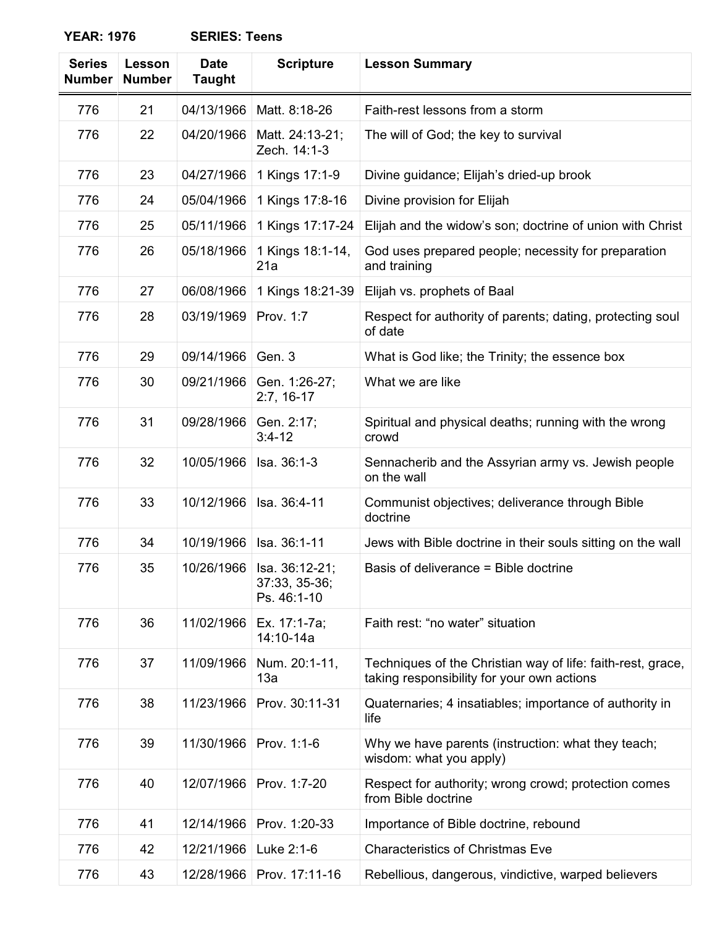| <b>Series</b><br><b>Number</b> | Lesson<br><b>Number</b> | <b>Date</b><br><b>Taught</b> | <b>Scripture</b>                                            | <b>Lesson Summary</b>                                                                                     |
|--------------------------------|-------------------------|------------------------------|-------------------------------------------------------------|-----------------------------------------------------------------------------------------------------------|
| 776                            | 21                      | 04/13/1966                   | Matt. 8:18-26                                               | Faith-rest lessons from a storm                                                                           |
| 776                            | 22                      | 04/20/1966                   | Matt. 24:13-21;<br>Zech. 14:1-3                             | The will of God; the key to survival                                                                      |
| 776                            | 23                      | 04/27/1966                   | 1 Kings 17:1-9                                              | Divine guidance; Elijah's dried-up brook                                                                  |
| 776                            | 24                      | 05/04/1966                   | 1 Kings 17:8-16                                             | Divine provision for Elijah                                                                               |
| 776                            | 25                      | 05/11/1966                   | 1 Kings 17:17-24                                            | Elijah and the widow's son; doctrine of union with Christ                                                 |
| 776                            | 26                      | 05/18/1966                   | 1 Kings 18:1-14,<br>21a                                     | God uses prepared people; necessity for preparation<br>and training                                       |
| 776                            | 27                      | 06/08/1966                   | 1 Kings 18:21-39                                            | Elijah vs. prophets of Baal                                                                               |
| 776                            | 28                      | 03/19/1969                   | Prov. 1:7                                                   | Respect for authority of parents; dating, protecting soul<br>of date                                      |
| 776                            | 29                      | 09/14/1966                   | Gen. 3                                                      | What is God like; the Trinity; the essence box                                                            |
| 776                            | 30                      | 09/21/1966                   | Gen. 1:26-27;<br>$2:7, 16-17$                               | What we are like                                                                                          |
| 776                            | 31                      | 09/28/1966                   | Gen. 2:17;<br>$3:4-12$                                      | Spiritual and physical deaths; running with the wrong<br>crowd                                            |
| 776                            | 32                      | 10/05/1966                   | Isa. 36:1-3                                                 | Sennacherib and the Assyrian army vs. Jewish people<br>on the wall                                        |
| 776                            | 33                      | 10/12/1966                   | Isa. 36:4-11                                                | Communist objectives; deliverance through Bible<br>doctrine                                               |
| 776                            | 34                      | 10/19/1966                   | Isa. 36:1-11                                                | Jews with Bible doctrine in their souls sitting on the wall                                               |
| 776                            | 35                      |                              | 10/26/1966   Isa. 36:12-21;<br>37:33, 35-36;<br>Ps. 46:1-10 | Basis of deliverance = Bible doctrine                                                                     |
| 776                            | 36                      | 11/02/1966                   | Ex. 17:1-7a;<br>14:10-14a                                   | Faith rest: "no water" situation                                                                          |
| 776                            | 37                      | 11/09/1966                   | Num. 20:1-11,<br>13a                                        | Techniques of the Christian way of life: faith-rest, grace,<br>taking responsibility for your own actions |
| 776                            | 38                      | 11/23/1966                   | Prov. 30:11-31                                              | Quaternaries; 4 insatiables; importance of authority in<br>life                                           |
| 776                            | 39                      | 11/30/1966                   | Prov. 1:1-6                                                 | Why we have parents (instruction: what they teach;<br>wisdom: what you apply)                             |
| 776                            | 40                      | 12/07/1966                   | Prov. 1:7-20                                                | Respect for authority; wrong crowd; protection comes<br>from Bible doctrine                               |
| 776                            | 41                      | 12/14/1966                   | Prov. 1:20-33                                               | Importance of Bible doctrine, rebound                                                                     |
| 776                            | 42                      | 12/21/1966                   | Luke 2:1-6                                                  | <b>Characteristics of Christmas Eve</b>                                                                   |
| 776                            | 43                      | 12/28/1966                   | Prov. 17:11-16                                              | Rebellious, dangerous, vindictive, warped believers                                                       |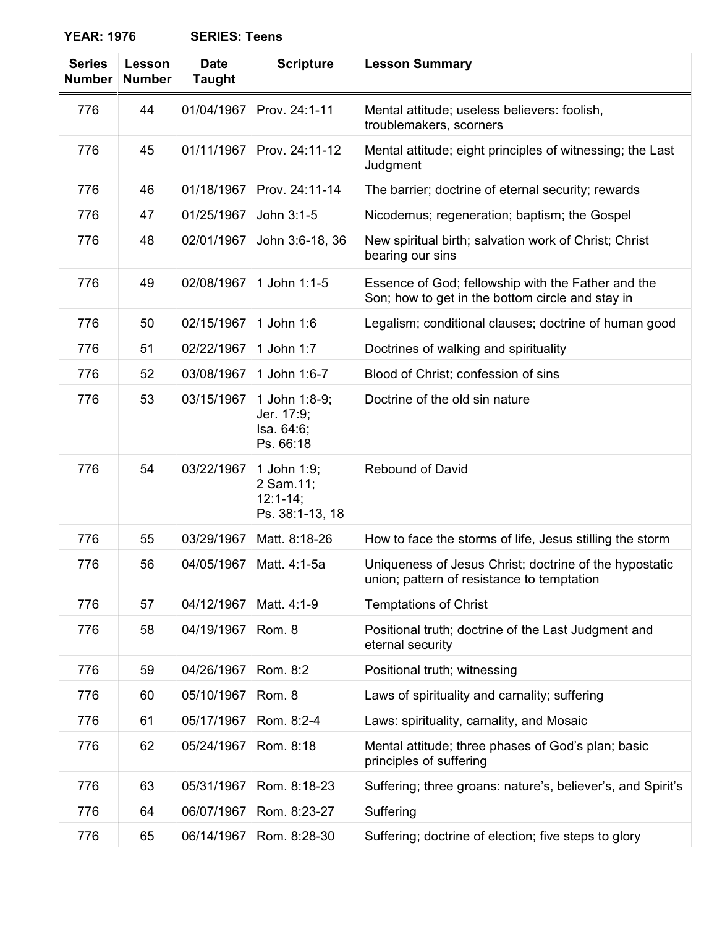| <b>Series</b><br><b>Number</b> | Lesson<br><b>Number</b> | <b>Date</b><br><b>Taught</b> | <b>Scripture</b>                                          | <b>Lesson Summary</b>                                                                                  |
|--------------------------------|-------------------------|------------------------------|-----------------------------------------------------------|--------------------------------------------------------------------------------------------------------|
| 776                            | 44                      | 01/04/1967                   | Prov. 24:1-11                                             | Mental attitude; useless believers: foolish,<br>troublemakers, scorners                                |
| 776                            | 45                      | 01/11/1967                   | Prov. 24:11-12                                            | Mental attitude; eight principles of witnessing; the Last<br>Judgment                                  |
| 776                            | 46                      | 01/18/1967                   | Prov. 24:11-14                                            | The barrier; doctrine of eternal security; rewards                                                     |
| 776                            | 47                      | 01/25/1967                   | John 3:1-5                                                | Nicodemus; regeneration; baptism; the Gospel                                                           |
| 776                            | 48                      | 02/01/1967                   | John 3:6-18, 36                                           | New spiritual birth; salvation work of Christ; Christ<br>bearing our sins                              |
| 776                            | 49                      | 02/08/1967                   | 1 John 1:1-5                                              | Essence of God; fellowship with the Father and the<br>Son; how to get in the bottom circle and stay in |
| 776                            | 50                      | 02/15/1967                   | 1 John 1:6                                                | Legalism; conditional clauses; doctrine of human good                                                  |
| 776                            | 51                      | 02/22/1967                   | 1 John 1:7                                                | Doctrines of walking and spirituality                                                                  |
| 776                            | 52                      | 03/08/1967                   | 1 John 1:6-7                                              | Blood of Christ; confession of sins                                                                    |
| 776                            | 53                      | 03/15/1967                   | 1 John 1:8-9;<br>Jer. 17:9;<br>Isa. 64:6;<br>Ps. 66:18    | Doctrine of the old sin nature                                                                         |
| 776                            | 54                      | 03/22/1967                   | 1 John 1:9;<br>2 Sam.11;<br>$12:1-14;$<br>Ps. 38:1-13, 18 | <b>Rebound of David</b>                                                                                |
| 776                            | 55                      | 03/29/1967                   | Matt. 8:18-26                                             | How to face the storms of life, Jesus stilling the storm                                               |
| 776                            | 56                      | 04/05/1967                   | Matt. 4:1-5a                                              | Uniqueness of Jesus Christ; doctrine of the hypostatic<br>union; pattern of resistance to temptation   |
| 776                            | 57                      | 04/12/1967                   | Matt. 4:1-9                                               | <b>Temptations of Christ</b>                                                                           |
| 776                            | 58                      | 04/19/1967                   | Rom. 8                                                    | Positional truth; doctrine of the Last Judgment and<br>eternal security                                |
| 776                            | 59                      | 04/26/1967                   | Rom. 8:2                                                  | Positional truth; witnessing                                                                           |
| 776                            | 60                      | 05/10/1967                   | Rom. 8                                                    | Laws of spirituality and carnality; suffering                                                          |
| 776                            | 61                      | 05/17/1967                   | Rom. 8:2-4                                                | Laws: spirituality, carnality, and Mosaic                                                              |
| 776                            | 62                      | 05/24/1967                   | Rom. 8:18                                                 | Mental attitude; three phases of God's plan; basic<br>principles of suffering                          |
| 776                            | 63                      | 05/31/1967                   | Rom. 8:18-23                                              | Suffering; three groans: nature's, believer's, and Spirit's                                            |
| 776                            | 64                      | 06/07/1967                   | Rom. 8:23-27                                              | Suffering                                                                                              |
| 776                            | 65                      | 06/14/1967                   | Rom. 8:28-30                                              | Suffering; doctrine of election; five steps to glory                                                   |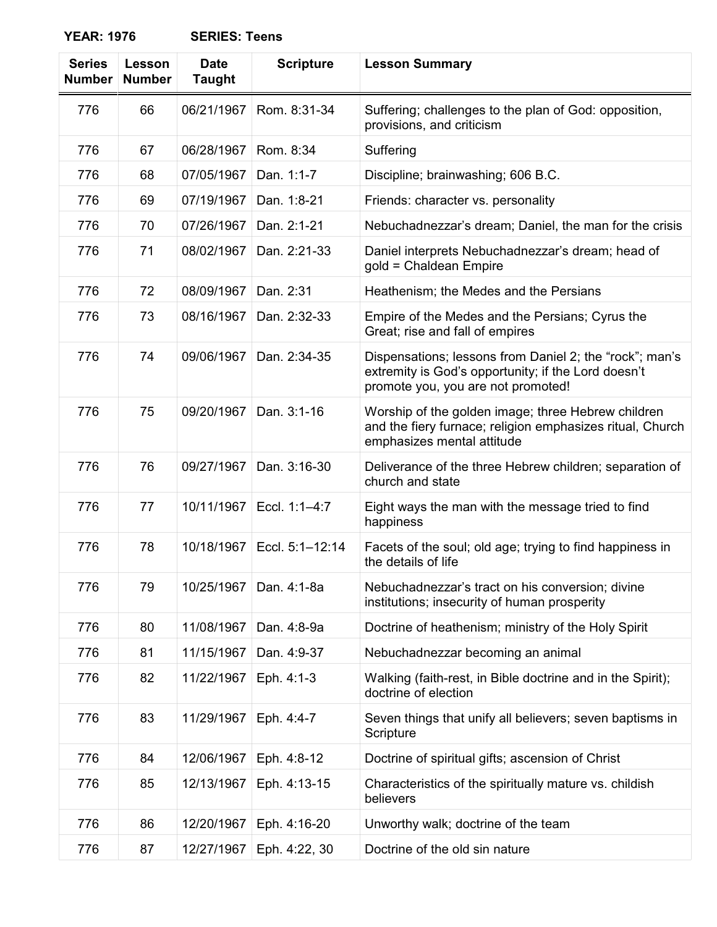| <b>Series</b><br><b>Number</b> | Lesson<br><b>Number</b> | <b>Date</b><br><b>Taught</b> | <b>Scripture</b> | <b>Lesson Summary</b>                                                                                                                                |
|--------------------------------|-------------------------|------------------------------|------------------|------------------------------------------------------------------------------------------------------------------------------------------------------|
| 776                            | 66                      | 06/21/1967                   | Rom. 8:31-34     | Suffering; challenges to the plan of God: opposition,<br>provisions, and criticism                                                                   |
| 776                            | 67                      | 06/28/1967                   | Rom. 8:34        | Suffering                                                                                                                                            |
| 776                            | 68                      | 07/05/1967                   | Dan. 1:1-7       | Discipline; brainwashing; 606 B.C.                                                                                                                   |
| 776                            | 69                      | 07/19/1967                   | Dan. 1:8-21      | Friends: character vs. personality                                                                                                                   |
| 776                            | 70                      | 07/26/1967                   | Dan. 2:1-21      | Nebuchadnezzar's dream; Daniel, the man for the crisis                                                                                               |
| 776                            | 71                      | 08/02/1967                   | Dan. 2:21-33     | Daniel interprets Nebuchadnezzar's dream; head of<br>gold = Chaldean Empire                                                                          |
| 776                            | 72                      | 08/09/1967                   | Dan. 2:31        | Heathenism; the Medes and the Persians                                                                                                               |
| 776                            | 73                      | 08/16/1967                   | Dan. 2:32-33     | Empire of the Medes and the Persians; Cyrus the<br>Great; rise and fall of empires                                                                   |
| 776                            | 74                      | 09/06/1967                   | Dan. 2:34-35     | Dispensations; lessons from Daniel 2; the "rock"; man's<br>extremity is God's opportunity; if the Lord doesn't<br>promote you, you are not promoted! |
| 776                            | 75                      | 09/20/1967                   | Dan. 3:1-16      | Worship of the golden image; three Hebrew children<br>and the fiery furnace; religion emphasizes ritual, Church<br>emphasizes mental attitude        |
| 776                            | 76                      | 09/27/1967                   | Dan. 3:16-30     | Deliverance of the three Hebrew children; separation of<br>church and state                                                                          |
| 776                            | 77                      | 10/11/1967                   | Eccl. 1:1-4:7    | Eight ways the man with the message tried to find<br>happiness                                                                                       |
| 776                            | 78                      | 10/18/1967                   | Eccl. 5:1-12:14  | Facets of the soul; old age; trying to find happiness in<br>the details of life                                                                      |
| 776                            | 79                      | 10/25/1967                   | Dan. 4:1-8a      | Nebuchadnezzar's tract on his conversion; divine<br>institutions; insecurity of human prosperity                                                     |
| 776                            | 80                      | 11/08/1967                   | Dan. 4:8-9a      | Doctrine of heathenism; ministry of the Holy Spirit                                                                                                  |
| 776                            | 81                      | 11/15/1967                   | Dan. 4:9-37      | Nebuchadnezzar becoming an animal                                                                                                                    |
| 776                            | 82                      | 11/22/1967                   | Eph. 4:1-3       | Walking (faith-rest, in Bible doctrine and in the Spirit);<br>doctrine of election                                                                   |
| 776                            | 83                      | 11/29/1967                   | Eph. 4:4-7       | Seven things that unify all believers; seven baptisms in<br>Scripture                                                                                |
| 776                            | 84                      | 12/06/1967                   | Eph. 4:8-12      | Doctrine of spiritual gifts; ascension of Christ                                                                                                     |
| 776                            | 85                      | 12/13/1967                   | Eph. 4:13-15     | Characteristics of the spiritually mature vs. childish<br>believers                                                                                  |
| 776                            | 86                      | 12/20/1967                   | Eph. 4:16-20     | Unworthy walk; doctrine of the team                                                                                                                  |
| 776                            | 87                      | 12/27/1967                   | Eph. 4:22, 30    | Doctrine of the old sin nature                                                                                                                       |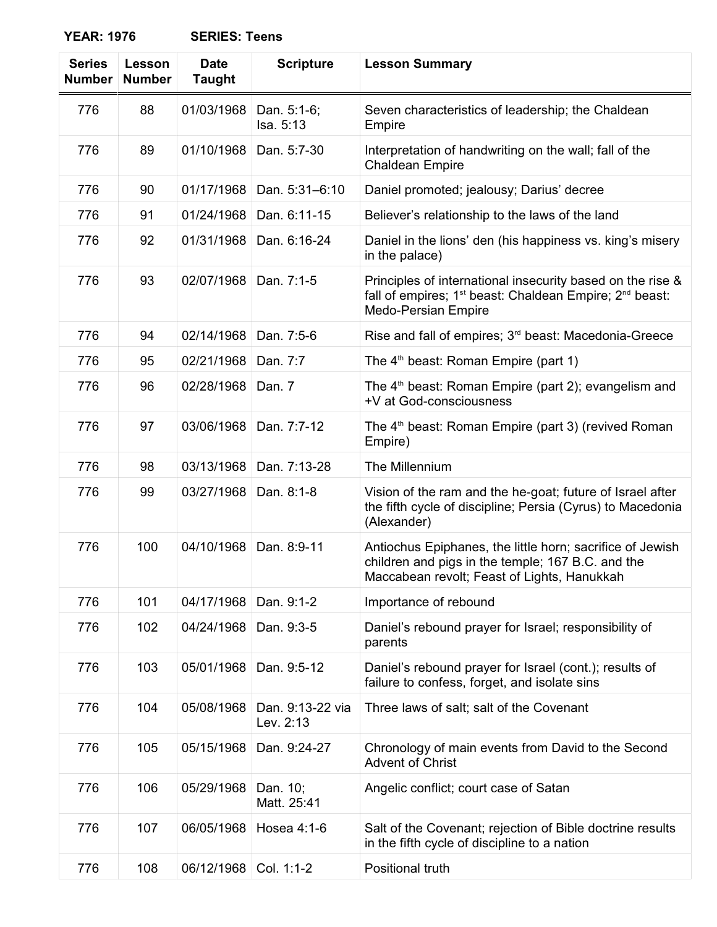| <b>Series</b><br><b>Number</b> | Lesson<br><b>Number</b> | <b>Date</b><br><b>Taught</b> | <b>Scripture</b>              | <b>Lesson Summary</b>                                                                                                                                                |
|--------------------------------|-------------------------|------------------------------|-------------------------------|----------------------------------------------------------------------------------------------------------------------------------------------------------------------|
| 776                            | 88                      | 01/03/1968                   | Dan. 5:1-6;<br>Isa. 5:13      | Seven characteristics of leadership; the Chaldean<br>Empire                                                                                                          |
| 776                            | 89                      | 01/10/1968                   | Dan. 5:7-30                   | Interpretation of handwriting on the wall; fall of the<br><b>Chaldean Empire</b>                                                                                     |
| 776                            | 90                      | 01/17/1968                   | Dan. 5:31-6:10                | Daniel promoted; jealousy; Darius' decree                                                                                                                            |
| 776                            | 91                      | 01/24/1968                   | Dan. 6:11-15                  | Believer's relationship to the laws of the land                                                                                                                      |
| 776                            | 92                      | 01/31/1968                   | Dan. 6:16-24                  | Daniel in the lions' den (his happiness vs. king's misery<br>in the palace)                                                                                          |
| 776                            | 93                      | 02/07/1968                   | Dan. 7:1-5                    | Principles of international insecurity based on the rise &<br>fall of empires; 1 <sup>st</sup> beast: Chaldean Empire; 2 <sup>nd</sup> beast:<br>Medo-Persian Empire |
| 776                            | 94                      | 02/14/1968                   | Dan. 7:5-6                    | Rise and fall of empires; 3 <sup>rd</sup> beast: Macedonia-Greece                                                                                                    |
| 776                            | 95                      | 02/21/1968                   | Dan. 7:7                      | The 4 <sup>th</sup> beast: Roman Empire (part 1)                                                                                                                     |
| 776                            | 96                      | 02/28/1968                   | Dan. 7                        | The 4 <sup>th</sup> beast: Roman Empire (part 2); evangelism and<br>+V at God-consciousness                                                                          |
| 776                            | 97                      | 03/06/1968                   | Dan. 7:7-12                   | The 4 <sup>th</sup> beast: Roman Empire (part 3) (revived Roman<br>Empire)                                                                                           |
| 776                            | 98                      | 03/13/1968                   | Dan. 7:13-28                  | The Millennium                                                                                                                                                       |
| 776                            | 99                      | 03/27/1968                   | Dan. 8:1-8                    | Vision of the ram and the he-goat; future of Israel after<br>the fifth cycle of discipline; Persia (Cyrus) to Macedonia<br>(Alexander)                               |
| 776                            | 100                     | 04/10/1968                   | Dan. 8:9-11                   | Antiochus Epiphanes, the little horn; sacrifice of Jewish<br>children and pigs in the temple; 167 B.C. and the<br>Maccabean revolt; Feast of Lights, Hanukkah        |
| 776                            | 101                     | 04/17/1968                   | Dan. 9:1-2                    | Importance of rebound                                                                                                                                                |
| 776                            | 102                     | 04/24/1968                   | Dan. 9:3-5                    | Daniel's rebound prayer for Israel; responsibility of<br>parents                                                                                                     |
| 776                            | 103                     | 05/01/1968                   | Dan. 9:5-12                   | Daniel's rebound prayer for Israel (cont.); results of<br>failure to confess, forget, and isolate sins                                                               |
| 776                            | 104                     | 05/08/1968                   | Dan. 9:13-22 via<br>Lev. 2:13 | Three laws of salt; salt of the Covenant                                                                                                                             |
| 776                            | 105                     | 05/15/1968                   | Dan. 9:24-27                  | Chronology of main events from David to the Second<br><b>Advent of Christ</b>                                                                                        |
| 776                            | 106                     | 05/29/1968                   | Dan. 10;<br>Matt. 25:41       | Angelic conflict; court case of Satan                                                                                                                                |
| 776                            | 107                     | 06/05/1968                   | Hosea 4:1-6                   | Salt of the Covenant; rejection of Bible doctrine results<br>in the fifth cycle of discipline to a nation                                                            |
| 776                            | 108                     | 06/12/1968                   | Col. 1:1-2                    | Positional truth                                                                                                                                                     |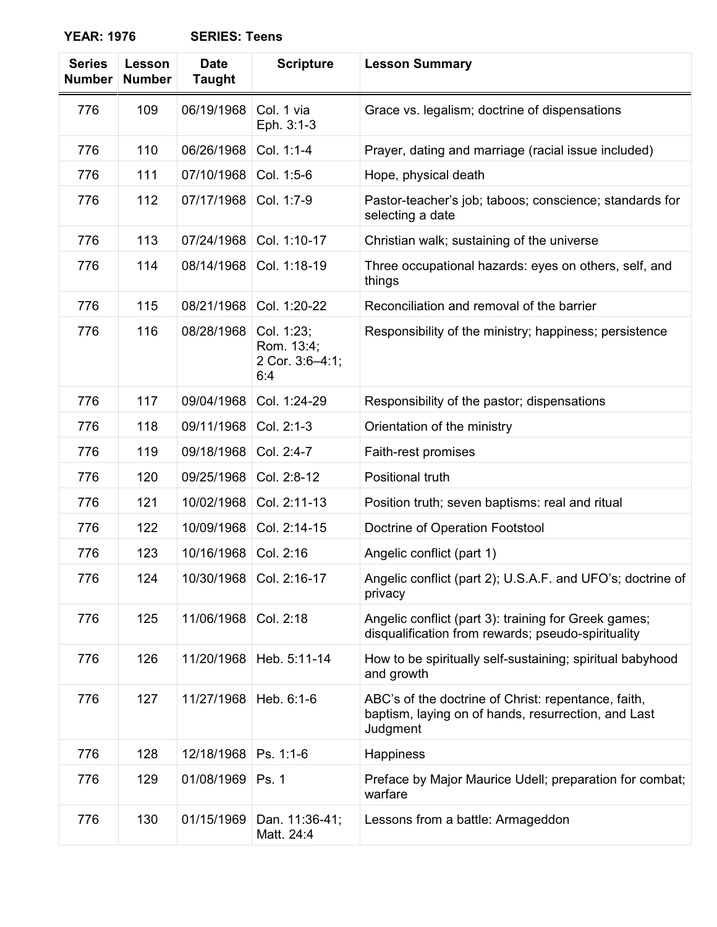| <b>Series</b><br><b>Number</b> | Lesson<br><b>Number</b> | <b>Date</b><br><b>Taught</b> | <b>Scripture</b>                                   | <b>Lesson Summary</b>                                                                                                  |
|--------------------------------|-------------------------|------------------------------|----------------------------------------------------|------------------------------------------------------------------------------------------------------------------------|
| 776                            | 109                     | 06/19/1968                   | Col. 1 via<br>Eph. 3:1-3                           | Grace vs. legalism; doctrine of dispensations                                                                          |
| 776                            | 110                     | 06/26/1968                   | Col. 1:1-4                                         | Prayer, dating and marriage (racial issue included)                                                                    |
| 776                            | 111                     | 07/10/1968                   | Col. 1:5-6                                         | Hope, physical death                                                                                                   |
| 776                            | 112                     | 07/17/1968                   | Col. 1:7-9                                         | Pastor-teacher's job; taboos; conscience; standards for<br>selecting a date                                            |
| 776                            | 113                     | 07/24/1968                   | Col. 1:10-17                                       | Christian walk; sustaining of the universe                                                                             |
| 776                            | 114                     | 08/14/1968                   | Col. 1:18-19                                       | Three occupational hazards: eyes on others, self, and<br>things                                                        |
| 776                            | 115                     | 08/21/1968                   | Col. 1:20-22                                       | Reconciliation and removal of the barrier                                                                              |
| 776                            | 116                     | 08/28/1968                   | Col. 1:23;<br>Rom. 13:4;<br>2 Cor. 3:6-4:1;<br>6:4 | Responsibility of the ministry; happiness; persistence                                                                 |
| 776                            | 117                     | 09/04/1968                   | Col. 1:24-29                                       | Responsibility of the pastor; dispensations                                                                            |
| 776                            | 118                     | 09/11/1968                   | Col. 2:1-3                                         | Orientation of the ministry                                                                                            |
| 776                            | 119                     | 09/18/1968                   | Col. 2:4-7                                         | Faith-rest promises                                                                                                    |
| 776                            | 120                     | 09/25/1968                   | Col. 2:8-12                                        | Positional truth                                                                                                       |
| 776                            | 121                     | 10/02/1968                   | Col. 2:11-13                                       | Position truth; seven baptisms: real and ritual                                                                        |
| 776                            | 122                     | 10/09/1968                   | Col. 2:14-15                                       | Doctrine of Operation Footstool                                                                                        |
| 776                            | 123                     | 10/16/1968                   | Col. 2:16                                          | Angelic conflict (part 1)                                                                                              |
| 776                            | 124                     | 10/30/1968                   | Col. 2:16-17                                       | Angelic conflict (part 2); U.S.A.F. and UFO's; doctrine of<br>privacy                                                  |
| 776                            | 125                     | 11/06/1968                   | Col. 2:18                                          | Angelic conflict (part 3): training for Greek games;<br>disqualification from rewards; pseudo-spirituality             |
| 776                            | 126                     | 11/20/1968                   | Heb. 5:11-14                                       | How to be spiritually self-sustaining; spiritual babyhood<br>and growth                                                |
| 776                            | 127                     | 11/27/1968                   | Heb. 6:1-6                                         | ABC's of the doctrine of Christ: repentance, faith,<br>baptism, laying on of hands, resurrection, and Last<br>Judgment |
| 776                            | 128                     | 12/18/1968                   | Ps. 1:1-6                                          | Happiness                                                                                                              |
| 776                            | 129                     | 01/08/1969                   | Ps. 1                                              | Preface by Major Maurice Udell; preparation for combat;<br>warfare                                                     |
| 776                            | 130                     | 01/15/1969                   | Dan. 11:36-41;<br>Matt. 24:4                       | Lessons from a battle: Armageddon                                                                                      |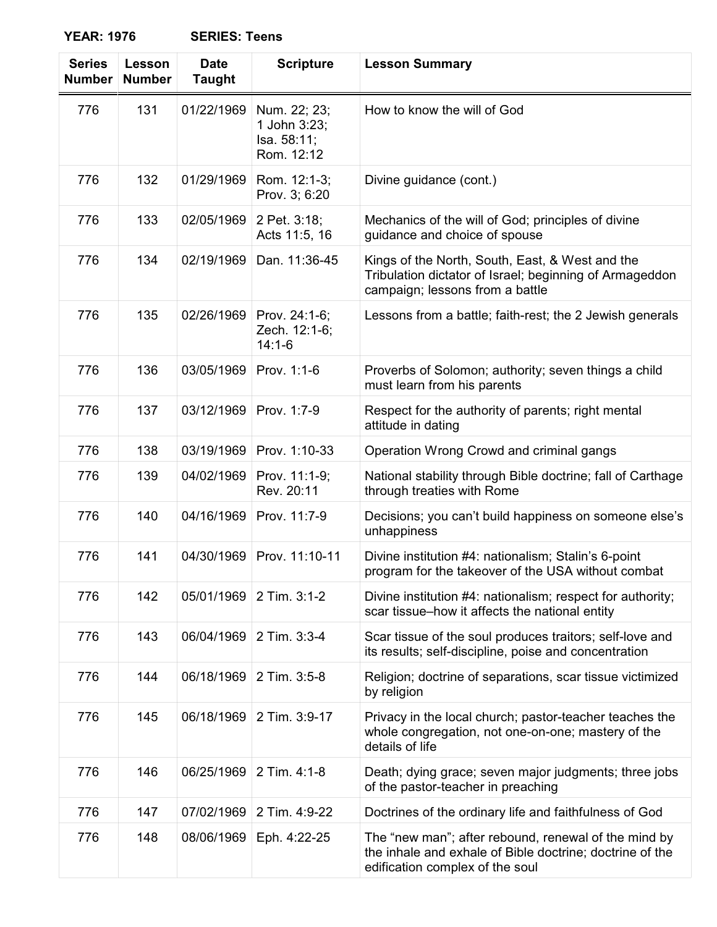| <b>Series</b><br><b>Number</b> | Lesson<br><b>Number</b> | <b>Date</b><br><b>Taught</b> | <b>Scripture</b>                                          | <b>Lesson Summary</b>                                                                                                                               |
|--------------------------------|-------------------------|------------------------------|-----------------------------------------------------------|-----------------------------------------------------------------------------------------------------------------------------------------------------|
| 776                            | 131                     | 01/22/1969                   | Num. 22; 23;<br>1 John 3:23;<br>Isa. 58:11;<br>Rom. 12:12 | How to know the will of God                                                                                                                         |
| 776                            | 132                     | 01/29/1969                   | Rom. 12:1-3;<br>Prov. 3; 6:20                             | Divine guidance (cont.)                                                                                                                             |
| 776                            | 133                     | 02/05/1969                   | 2 Pet. 3:18;<br>Acts 11:5, 16                             | Mechanics of the will of God; principles of divine<br>guidance and choice of spouse                                                                 |
| 776                            | 134                     | 02/19/1969                   | Dan. 11:36-45                                             | Kings of the North, South, East, & West and the<br>Tribulation dictator of Israel; beginning of Armageddon<br>campaign; lessons from a battle       |
| 776                            | 135                     | 02/26/1969                   | Prov. 24:1-6;<br>Zech. 12:1-6;<br>$14:1-6$                | Lessons from a battle; faith-rest; the 2 Jewish generals                                                                                            |
| 776                            | 136                     | 03/05/1969                   | Prov. 1:1-6                                               | Proverbs of Solomon; authority; seven things a child<br>must learn from his parents                                                                 |
| 776                            | 137                     | 03/12/1969                   | Prov. 1:7-9                                               | Respect for the authority of parents; right mental<br>attitude in dating                                                                            |
| 776                            | 138                     | 03/19/1969                   | Prov. 1:10-33                                             | Operation Wrong Crowd and criminal gangs                                                                                                            |
| 776                            | 139                     | 04/02/1969                   | Prov. 11:1-9;<br>Rev. 20:11                               | National stability through Bible doctrine; fall of Carthage<br>through treaties with Rome                                                           |
| 776                            | 140                     | 04/16/1969                   | Prov. 11:7-9                                              | Decisions; you can't build happiness on someone else's<br>unhappiness                                                                               |
| 776                            | 141                     | 04/30/1969                   | Prov. 11:10-11                                            | Divine institution #4: nationalism; Stalin's 6-point<br>program for the takeover of the USA without combat                                          |
| 776                            | 142                     | 05/01/1969                   | 2 Tim. 3:1-2                                              | Divine institution #4: nationalism; respect for authority;<br>scar tissue-how it affects the national entity                                        |
| 776                            | 143                     | 06/04/1969                   | 2 Tim. 3:3-4                                              | Scar tissue of the soul produces traitors; self-love and<br>its results; self-discipline, poise and concentration                                   |
| 776                            | 144                     | 06/18/1969                   | 2 Tim. 3:5-8                                              | Religion; doctrine of separations, scar tissue victimized<br>by religion                                                                            |
| 776                            | 145                     | 06/18/1969                   | 2 Tim. 3:9-17                                             | Privacy in the local church; pastor-teacher teaches the<br>whole congregation, not one-on-one; mastery of the<br>details of life                    |
| 776                            | 146                     | 06/25/1969                   | 2 Tim. 4:1-8                                              | Death; dying grace; seven major judgments; three jobs<br>of the pastor-teacher in preaching                                                         |
| 776                            | 147                     | 07/02/1969                   | 2 Tim. 4:9-22                                             | Doctrines of the ordinary life and faithfulness of God                                                                                              |
| 776                            | 148                     | 08/06/1969                   | Eph. 4:22-25                                              | The "new man"; after rebound, renewal of the mind by<br>the inhale and exhale of Bible doctrine; doctrine of the<br>edification complex of the soul |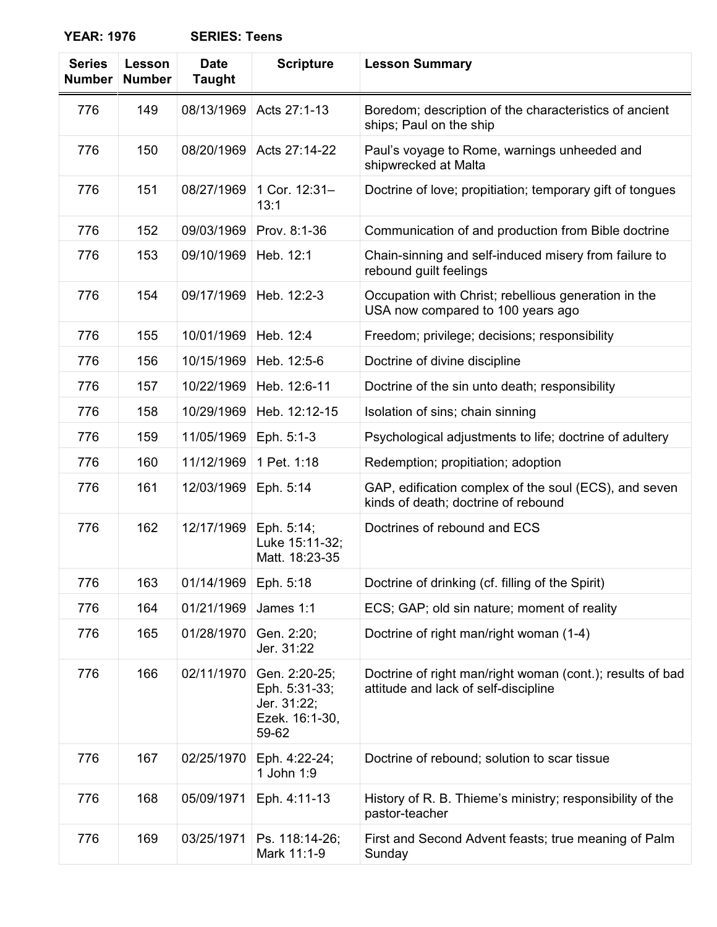| <b>Series</b><br><b>Number</b> | Lesson<br><b>Number</b> | <b>Date</b><br><b>Taught</b> | <b>Scripture</b>                                                         | <b>Lesson Summary</b>                                                                             |
|--------------------------------|-------------------------|------------------------------|--------------------------------------------------------------------------|---------------------------------------------------------------------------------------------------|
| 776                            | 149                     | 08/13/1969                   | Acts 27:1-13                                                             | Boredom; description of the characteristics of ancient<br>ships; Paul on the ship                 |
| 776                            | 150                     | 08/20/1969                   | Acts 27:14-22                                                            | Paul's voyage to Rome, warnings unheeded and<br>shipwrecked at Malta                              |
| 776                            | 151                     | 08/27/1969                   | 1 Cor. 12:31-<br>13:1                                                    | Doctrine of love; propitiation; temporary gift of tongues                                         |
| 776                            | 152                     | 09/03/1969                   | Prov. 8:1-36                                                             | Communication of and production from Bible doctrine                                               |
| 776                            | 153                     | 09/10/1969                   | Heb. 12:1                                                                | Chain-sinning and self-induced misery from failure to<br>rebound guilt feelings                   |
| 776                            | 154                     | 09/17/1969                   | Heb. 12:2-3                                                              | Occupation with Christ; rebellious generation in the<br>USA now compared to 100 years ago         |
| 776                            | 155                     | 10/01/1969                   | Heb. 12:4                                                                | Freedom; privilege; decisions; responsibility                                                     |
| 776                            | 156                     | 10/15/1969                   | Heb. 12:5-6                                                              | Doctrine of divine discipline                                                                     |
| 776                            | 157                     | 10/22/1969                   | Heb. 12:6-11                                                             | Doctrine of the sin unto death; responsibility                                                    |
| 776                            | 158                     | 10/29/1969                   | Heb. 12:12-15                                                            | Isolation of sins; chain sinning                                                                  |
| 776                            | 159                     | 11/05/1969                   | Eph. 5:1-3                                                               | Psychological adjustments to life; doctrine of adultery                                           |
| 776                            | 160                     | 11/12/1969                   | 1 Pet. 1:18                                                              | Redemption; propitiation; adoption                                                                |
| 776                            | 161                     | 12/03/1969                   | Eph. 5:14                                                                | GAP, edification complex of the soul (ECS), and seven<br>kinds of death; doctrine of rebound      |
| 776                            | 162                     | 12/17/1969                   | Eph. 5:14;<br>Luke 15:11-32;<br>Matt. 18:23-35                           | Doctrines of rebound and ECS                                                                      |
| 776                            | 163                     | 01/14/1969                   | Eph. 5:18                                                                | Doctrine of drinking (cf. filling of the Spirit)                                                  |
| 776                            | 164                     | 01/21/1969                   | James 1:1                                                                | ECS; GAP; old sin nature; moment of reality                                                       |
| 776                            | 165                     | 01/28/1970                   | Gen. 2:20;<br>Jer. 31:22                                                 | Doctrine of right man/right woman (1-4)                                                           |
| 776                            | 166                     | 02/11/1970                   | Gen. 2:20-25;<br>Eph. 5:31-33;<br>Jer. 31:22;<br>Ezek. 16:1-30,<br>59-62 | Doctrine of right man/right woman (cont.); results of bad<br>attitude and lack of self-discipline |
| 776                            | 167                     | 02/25/1970                   | Eph. 4:22-24;<br>1 John 1:9                                              | Doctrine of rebound; solution to scar tissue                                                      |
| 776                            | 168                     | 05/09/1971                   | Eph. 4:11-13                                                             | History of R. B. Thieme's ministry; responsibility of the<br>pastor-teacher                       |
| 776                            | 169                     | 03/25/1971                   | Ps. 118:14-26;<br>Mark 11:1-9                                            | First and Second Advent feasts; true meaning of Palm<br>Sunday                                    |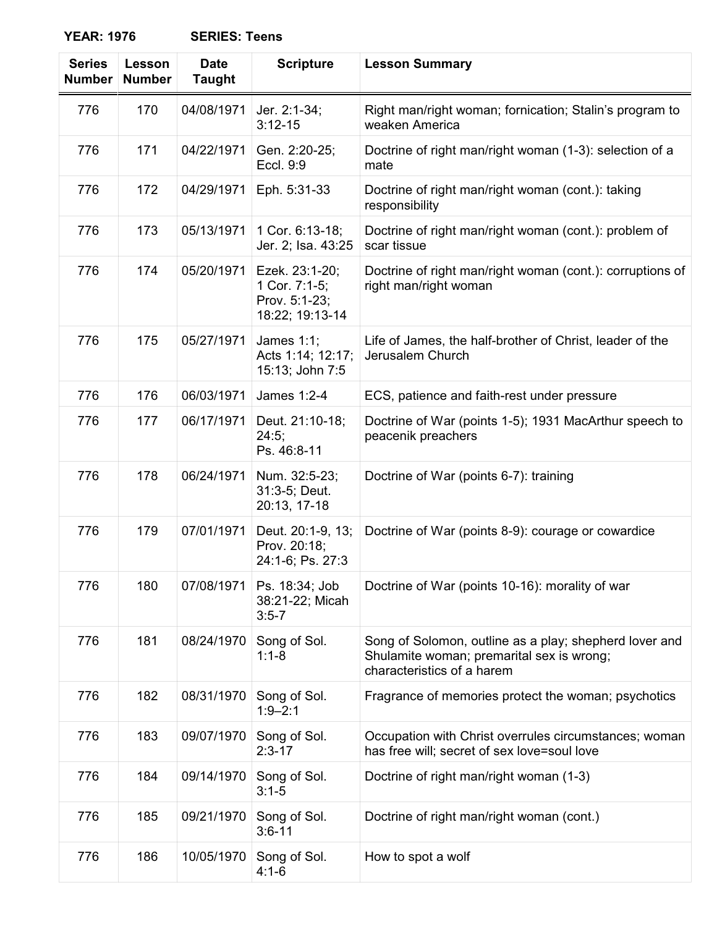| <b>Series</b><br><b>Number</b> | Lesson<br><b>Number</b> | <b>Date</b><br><b>Taught</b> | <b>Scripture</b>                                                    | <b>Lesson Summary</b>                                                                                                             |
|--------------------------------|-------------------------|------------------------------|---------------------------------------------------------------------|-----------------------------------------------------------------------------------------------------------------------------------|
| 776                            | 170                     | 04/08/1971                   | Jer. 2:1-34;<br>$3:12 - 15$                                         | Right man/right woman; fornication; Stalin's program to<br>weaken America                                                         |
| 776                            | 171                     | 04/22/1971                   | Gen. 2:20-25;<br>Eccl. 9:9                                          | Doctrine of right man/right woman (1-3): selection of a<br>mate                                                                   |
| 776                            | 172                     | 04/29/1971                   | Eph. 5:31-33                                                        | Doctrine of right man/right woman (cont.): taking<br>responsibility                                                               |
| 776                            | 173                     | 05/13/1971                   | 1 Cor. 6:13-18;<br>Jer. 2; Isa. 43:25                               | Doctrine of right man/right woman (cont.): problem of<br>scar tissue                                                              |
| 776                            | 174                     | 05/20/1971                   | Ezek. 23:1-20;<br>1 Cor. 7:1-5;<br>Prov. 5:1-23;<br>18:22; 19:13-14 | Doctrine of right man/right woman (cont.): corruptions of<br>right man/right woman                                                |
| 776                            | 175                     | 05/27/1971                   | James 1:1;<br>Acts 1:14; 12:17;<br>15:13; John 7:5                  | Life of James, the half-brother of Christ, leader of the<br>Jerusalem Church                                                      |
| 776                            | 176                     | 06/03/1971                   | James 1:2-4                                                         | ECS, patience and faith-rest under pressure                                                                                       |
| 776                            | 177                     | 06/17/1971                   | Deut. 21:10-18;<br>24:5;<br>Ps. 46:8-11                             | Doctrine of War (points 1-5); 1931 MacArthur speech to<br>peacenik preachers                                                      |
| 776                            | 178                     | 06/24/1971                   | Num. 32:5-23;<br>31:3-5; Deut.<br>20:13, 17-18                      | Doctrine of War (points 6-7): training                                                                                            |
| 776                            | 179                     | 07/01/1971                   | Deut. 20:1-9, 13;<br>Prov. 20:18;<br>24:1-6; Ps. 27:3               | Doctrine of War (points 8-9): courage or cowardice                                                                                |
| 776                            | 180                     | 07/08/1971                   | Ps. 18:34; Job<br>38:21-22; Micah<br>$3:5 - 7$                      | Doctrine of War (points 10-16): morality of war                                                                                   |
| 776                            | 181                     | 08/24/1970                   | Song of Sol.<br>$1:1 - 8$                                           | Song of Solomon, outline as a play; shepherd lover and<br>Shulamite woman; premarital sex is wrong;<br>characteristics of a harem |
| 776                            | 182                     | 08/31/1970                   | Song of Sol.<br>$1:9 - 2:1$                                         | Fragrance of memories protect the woman; psychotics                                                                               |
| 776                            | 183                     | 09/07/1970                   | Song of Sol.<br>$2:3 - 17$                                          | Occupation with Christ overrules circumstances; woman<br>has free will; secret of sex love=soul love                              |
| 776                            | 184                     | 09/14/1970                   | Song of Sol.<br>$3:1 - 5$                                           | Doctrine of right man/right woman (1-3)                                                                                           |
| 776                            | 185                     | 09/21/1970                   | Song of Sol.<br>$3:6 - 11$                                          | Doctrine of right man/right woman (cont.)                                                                                         |
| 776                            | 186                     | 10/05/1970                   | Song of Sol.<br>$4:1-6$                                             | How to spot a wolf                                                                                                                |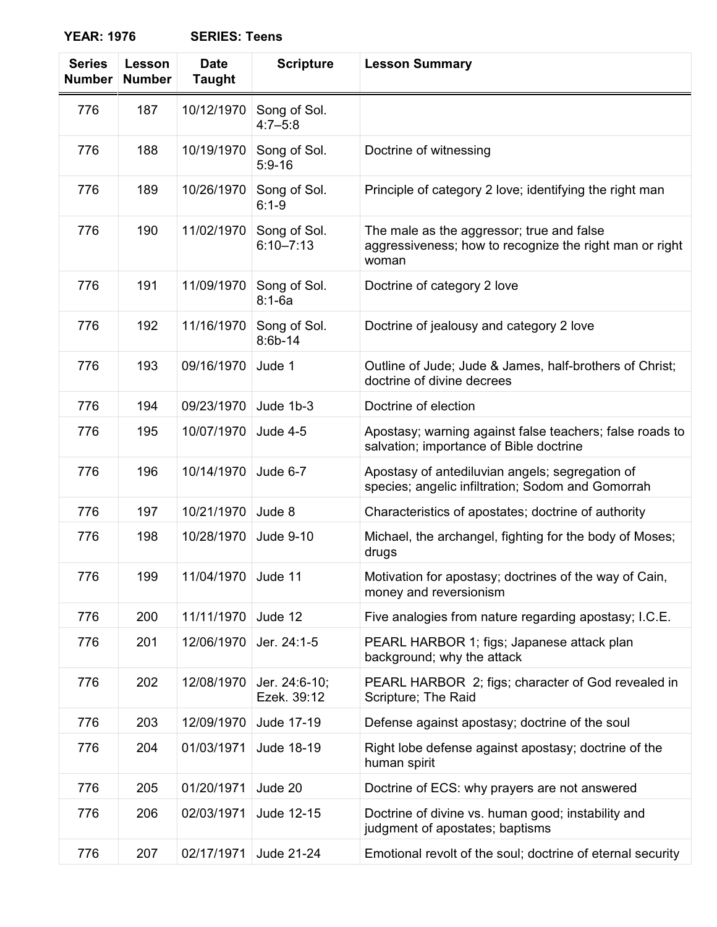| <b>Series</b><br><b>Number</b> | <b>Lesson</b><br><b>Number</b> | <b>Date</b><br><b>Taught</b> | <b>Scripture</b>              | <b>Lesson Summary</b>                                                                                         |
|--------------------------------|--------------------------------|------------------------------|-------------------------------|---------------------------------------------------------------------------------------------------------------|
| 776                            | 187                            | 10/12/1970                   | Song of Sol.<br>$4:7 - 5:8$   |                                                                                                               |
| 776                            | 188                            | 10/19/1970                   | Song of Sol.<br>$5:9 - 16$    | Doctrine of witnessing                                                                                        |
| 776                            | 189                            | 10/26/1970                   | Song of Sol.<br>$6:1 - 9$     | Principle of category 2 love; identifying the right man                                                       |
| 776                            | 190                            | 11/02/1970                   | Song of Sol.<br>$6:10 - 7:13$ | The male as the aggressor; true and false<br>aggressiveness; how to recognize the right man or right<br>woman |
| 776                            | 191                            | 11/09/1970                   | Song of Sol.<br>$8:1-6a$      | Doctrine of category 2 love                                                                                   |
| 776                            | 192                            | 11/16/1970                   | Song of Sol.<br>$8:6b-14$     | Doctrine of jealousy and category 2 love                                                                      |
| 776                            | 193                            | 09/16/1970                   | Jude 1                        | Outline of Jude; Jude & James, half-brothers of Christ;<br>doctrine of divine decrees                         |
| 776                            | 194                            | 09/23/1970                   | Jude 1b-3                     | Doctrine of election                                                                                          |
| 776                            | 195                            | 10/07/1970                   | <b>Jude 4-5</b>               | Apostasy; warning against false teachers; false roads to<br>salvation; importance of Bible doctrine           |
| 776                            | 196                            | 10/14/1970                   | Jude 6-7                      | Apostasy of antediluvian angels; segregation of<br>species; angelic infiltration; Sodom and Gomorrah          |
| 776                            | 197                            | 10/21/1970                   | Jude 8                        | Characteristics of apostates; doctrine of authority                                                           |
| 776                            | 198                            | 10/28/1970                   | Jude 9-10                     | Michael, the archangel, fighting for the body of Moses;<br>drugs                                              |
| 776                            | 199                            | 11/04/1970                   | Jude 11                       | Motivation for apostasy; doctrines of the way of Cain,<br>money and reversionism                              |
| 776                            | 200                            | 11/11/1970                   | Jude 12                       | Five analogies from nature regarding apostasy; I.C.E.                                                         |
| 776                            | 201                            | 12/06/1970                   | Jer. 24:1-5                   | PEARL HARBOR 1; figs; Japanese attack plan<br>background; why the attack                                      |
| 776                            | 202                            | 12/08/1970                   | Jer. 24:6-10;<br>Ezek. 39:12  | PEARL HARBOR 2; figs; character of God revealed in<br>Scripture; The Raid                                     |
| 776                            | 203                            | 12/09/1970                   | Jude 17-19                    | Defense against apostasy; doctrine of the soul                                                                |
| 776                            | 204                            | 01/03/1971                   | Jude 18-19                    | Right lobe defense against apostasy; doctrine of the<br>human spirit                                          |
| 776                            | 205                            | 01/20/1971                   | Jude 20                       | Doctrine of ECS: why prayers are not answered                                                                 |
| 776                            | 206                            | 02/03/1971                   | Jude 12-15                    | Doctrine of divine vs. human good; instability and<br>judgment of apostates; baptisms                         |
| 776                            | 207                            | 02/17/1971                   | Jude 21-24                    | Emotional revolt of the soul; doctrine of eternal security                                                    |